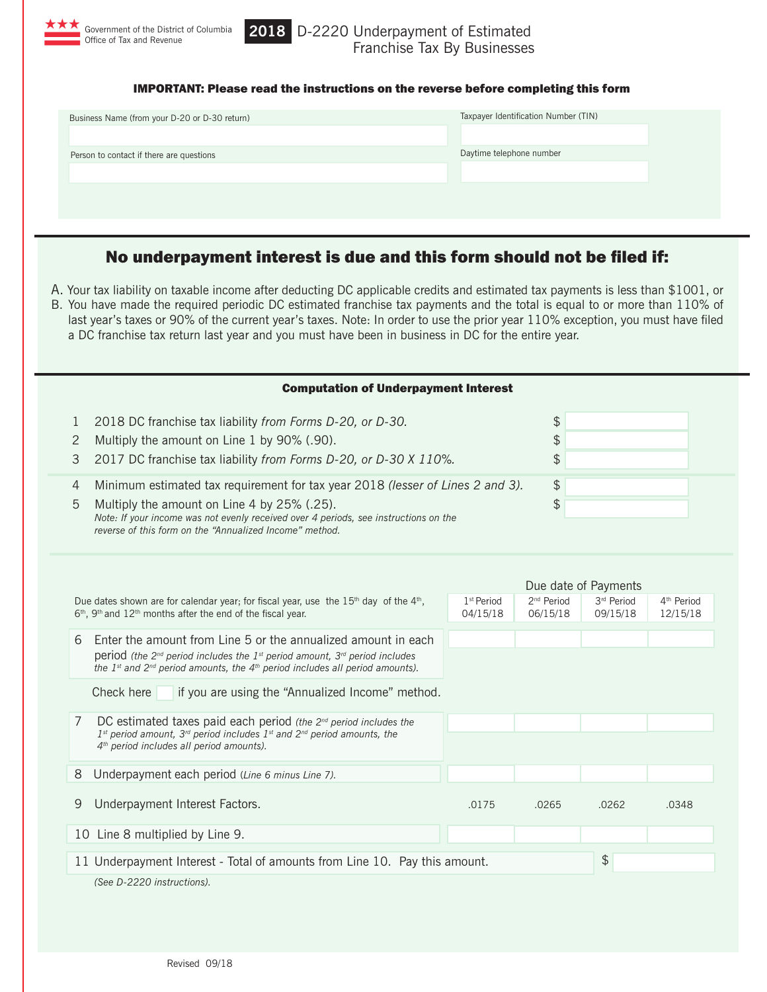

IMPORTANT: Please read the instructions on the reverse before completing this form

# No underpayment interest is due and this form should not be filed if:

A. Your tax liability on taxable income after deducting DC applicable credits and estimated tax payments is less than \$1001, or

B. You have made the required periodic DC estimated franchise tax payments and the total is equal to or more than 110% of last year's taxes or 90% of the current year's taxes. Note: In order to use the prior year 110% exception, you must have filed a DC franchise tax return last year and you must have been in business in DC for the entire year.

| <b>Computation of Underpayment Interest</b>                                                                                                                                                                                                                                                                                   |                                                                                                                                                                                                                                                           |                                    |                                      |                                    |                                    |
|-------------------------------------------------------------------------------------------------------------------------------------------------------------------------------------------------------------------------------------------------------------------------------------------------------------------------------|-----------------------------------------------------------------------------------------------------------------------------------------------------------------------------------------------------------------------------------------------------------|------------------------------------|--------------------------------------|------------------------------------|------------------------------------|
| 2018 DC franchise tax liability from Forms D-20, or D-30.<br>1<br>Multiply the amount on Line 1 by 90% (.90).<br>2<br>3<br>2017 DC franchise tax liability from Forms D-20, or D-30 X 110%.                                                                                                                                   |                                                                                                                                                                                                                                                           |                                    | $\frac{1}{2}$<br>\$<br>$\frac{1}{2}$ |                                    |                                    |
| $\frac{1}{2}$<br>Minimum estimated tax requirement for tax year 2018 (lesser of Lines 2 and 3).<br>4<br>$\mathfrak{P}$<br>5<br>Multiply the amount on Line 4 by 25% (.25).<br>Note: If your income was not evenly received over 4 periods, see instructions on the<br>reverse of this form on the "Annualized Income" method. |                                                                                                                                                                                                                                                           |                                    |                                      |                                    |                                    |
|                                                                                                                                                                                                                                                                                                                               | Due date of Payments                                                                                                                                                                                                                                      |                                    |                                      |                                    |                                    |
|                                                                                                                                                                                                                                                                                                                               | Due dates shown are for calendar year; for fiscal year, use the $15th$ day of the $4th$ ,<br>$6th$ , 9 <sup>th</sup> and 12 <sup>th</sup> months after the end of the fiscal year.                                                                        | 1 <sup>st</sup> Period<br>04/15/18 | 2 <sup>nd</sup> Period<br>06/15/18   | 3 <sup>rd</sup> Period<br>09/15/18 | 4 <sup>th</sup> Period<br>12/15/18 |
| 6                                                                                                                                                                                                                                                                                                                             | Enter the amount from Line 5 or the annualized amount in each<br>period (the $2^{nd}$ period includes the $1^{st}$ period amount, $3^{rd}$ period includes<br>the $1^{st}$ and $2^{nd}$ period amounts, the $4^{th}$ period includes all period amounts). |                                    |                                      |                                    |                                    |
|                                                                                                                                                                                                                                                                                                                               | Check here<br>if you are using the "Annualized Income" method.                                                                                                                                                                                            |                                    |                                      |                                    |                                    |
| 7                                                                                                                                                                                                                                                                                                                             | DC estimated taxes paid each period (the 2 <sup>nd</sup> period includes the<br>$1^{st}$ period amount, $3^{rd}$ period includes $1^{st}$ and $2^{nd}$ period amounts, the<br>4 <sup>th</sup> period includes all period amounts).                        |                                    |                                      |                                    |                                    |
| 8                                                                                                                                                                                                                                                                                                                             | Underpayment each period (Line 6 minus Line 7).                                                                                                                                                                                                           |                                    |                                      |                                    |                                    |
| 9                                                                                                                                                                                                                                                                                                                             | Underpayment Interest Factors.                                                                                                                                                                                                                            | .0175                              | .0265                                | .0262                              | .0348                              |
|                                                                                                                                                                                                                                                                                                                               | 10 Line 8 multiplied by Line 9.                                                                                                                                                                                                                           |                                    |                                      |                                    |                                    |
|                                                                                                                                                                                                                                                                                                                               | 11 Underpayment Interest - Total of amounts from Line 10. Pay this amount.                                                                                                                                                                                |                                    |                                      | $\frac{4}{3}$                      |                                    |
|                                                                                                                                                                                                                                                                                                                               | (See D-2220 instructions).                                                                                                                                                                                                                                |                                    |                                      |                                    |                                    |